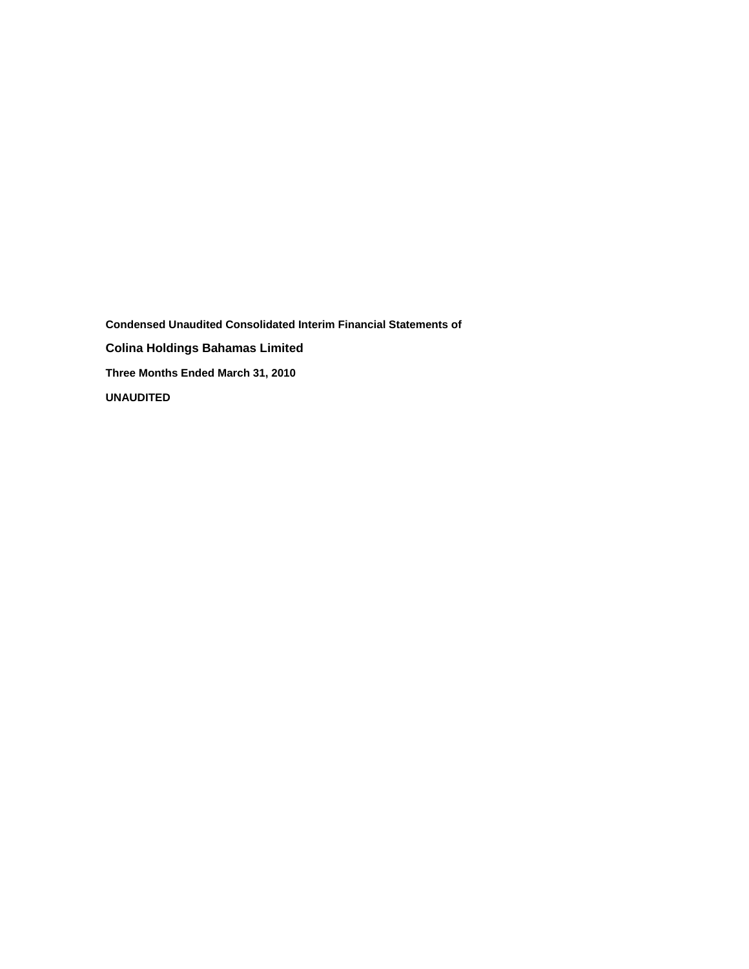**Condensed Unaudited Consolidated Interim Financial Statements of Colina Holdings Bahamas Limited Three Months Ended March 31, 2010 UNAUDITED**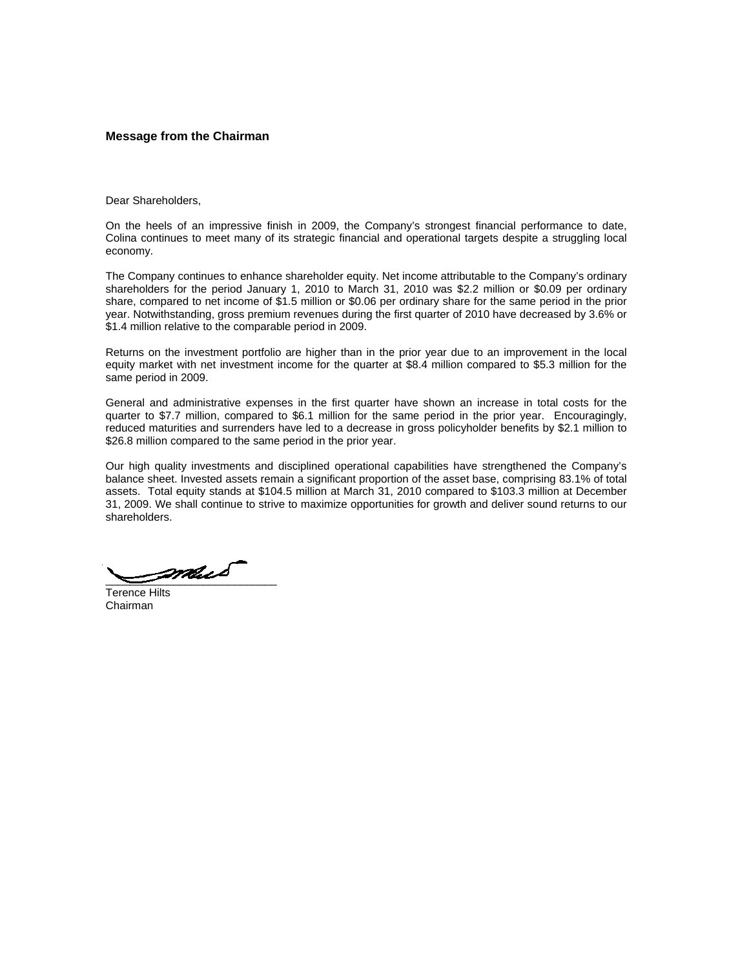### **Message from the Chairman**

Dear Shareholders,

On the heels of an impressive finish in 2009, the Company's strongest financial performance to date, Colina continues to meet many of its strategic financial and operational targets despite a struggling local economy.

The Company continues to enhance shareholder equity. Net income attributable to the Company's ordinary shareholders for the period January 1, 2010 to March 31, 2010 was \$2.2 million or \$0.09 per ordinary share, compared to net income of \$1.5 million or \$0.06 per ordinary share for the same period in the prior year. Notwithstanding, gross premium revenues during the first quarter of 2010 have decreased by 3.6% or \$1.4 million relative to the comparable period in 2009.

Returns on the investment portfolio are higher than in the prior year due to an improvement in the local equity market with net investment income for the quarter at \$8.4 million compared to \$5.3 million for the same period in 2009.

General and administrative expenses in the first quarter have shown an increase in total costs for the quarter to \$7.7 million, compared to \$6.1 million for the same period in the prior year. Encouragingly, reduced maturities and surrenders have led to a decrease in gross policyholder benefits by \$2.1 million to \$26.8 million compared to the same period in the prior year.

Our high quality investments and disciplined operational capabilities have strengthened the Company's balance sheet. Invested assets remain a significant proportion of the asset base, comprising 83.1% of total assets. Total equity stands at \$104.5 million at March 31, 2010 compared to \$103.3 million at December 31, 2009. We shall continue to strive to maximize opportunities for growth and deliver sound returns to our shareholders.

 $\rule{1em}{0.5em}$ 

Terence Hilts Chairman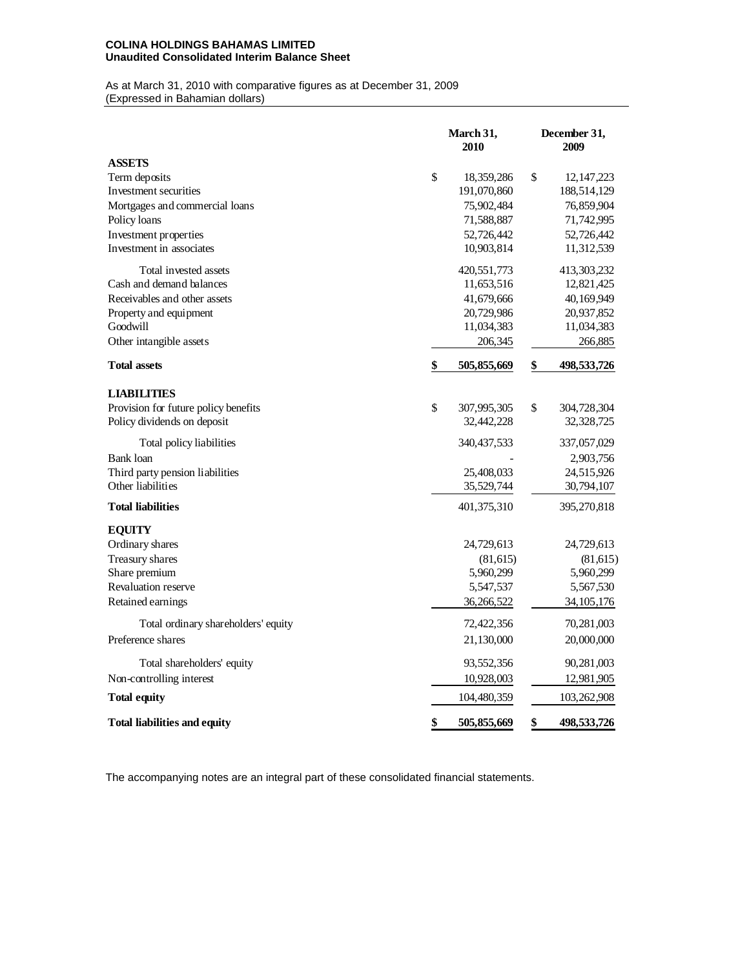# **COLINA HOLDINGS BAHAMAS LIMITED Unaudited Consolidated Interim Balance Sheet**

#### As at March 31, 2010 with comparative figures as at December 31, 2009 (Expressed in Bahamian dollars)

|                                                      | March 31,<br>2010 | December 31,<br>2009 |              |  |
|------------------------------------------------------|-------------------|----------------------|--------------|--|
| <b>ASSETS</b>                                        |                   |                      |              |  |
| Term deposits                                        | \$<br>18,359,286  | \$                   | 12, 147, 223 |  |
| Investment securities                                | 191,070,860       |                      | 188,514,129  |  |
| Mortgages and commercial loans                       | 75,902,484        |                      | 76,859,904   |  |
| Policy loans                                         | 71,588,887        |                      | 71,742,995   |  |
| Investment properties                                | 52,726,442        |                      | 52,726,442   |  |
| Investment in associates                             | 10,903,814        |                      | 11,312,539   |  |
| Total invested assets                                | 420,551,773       |                      | 413,303,232  |  |
| Cash and demand balances                             | 11,653,516        |                      | 12,821,425   |  |
| Receivables and other assets                         | 41,679,666        |                      | 40,169,949   |  |
| Property and equipment                               | 20,729,986        |                      | 20,937,852   |  |
| Goodwill                                             | 11,034,383        |                      | 11,034,383   |  |
| Other intangible assets                              | 206,345           |                      | 266,885      |  |
| <b>Total assets</b>                                  | \$<br>505,855,669 | \$                   | 498,533,726  |  |
| <b>LIABILITIES</b>                                   |                   |                      |              |  |
| Provision for future policy benefits                 | \$<br>307,995,305 | \$                   | 304,728,304  |  |
| Policy dividends on deposit                          | 32,442,228        |                      | 32,328,725   |  |
|                                                      |                   |                      |              |  |
| Total policy liabilities                             | 340, 437, 533     |                      | 337,057,029  |  |
| <b>Bank</b> loan                                     |                   |                      | 2,903,756    |  |
| Third party pension liabilities<br>Other liabilities | 25,408,033        |                      | 24,515,926   |  |
|                                                      | 35,529,744        |                      | 30,794,107   |  |
| <b>Total liabilities</b>                             | 401,375,310       |                      | 395,270,818  |  |
| <b>EQUITY</b>                                        |                   |                      |              |  |
| Ordinary shares                                      | 24,729,613        |                      | 24,729,613   |  |
| Treasury shares                                      | (81,615)          |                      | (81,615)     |  |
| Share premium                                        | 5,960,299         |                      | 5,960,299    |  |
| Revaluation reserve                                  | 5,547,537         |                      | 5,567,530    |  |
| Retained earnings                                    | 36,266,522        |                      | 34, 105, 176 |  |
| Total ordinary shareholders' equity                  | 72,422,356        |                      | 70,281,003   |  |
| Preference shares                                    | 21,130,000        |                      | 20,000,000   |  |
| Total shareholders' equity                           | 93,552,356        |                      | 90,281,003   |  |
| Non-controlling interest                             | 10,928,003        |                      | 12,981,905   |  |
| Total equity                                         | 104,480,359       |                      | 103,262,908  |  |
| <b>Total liabilities and equity</b>                  | \$<br>505,855,669 | \$                   | 498,533,726  |  |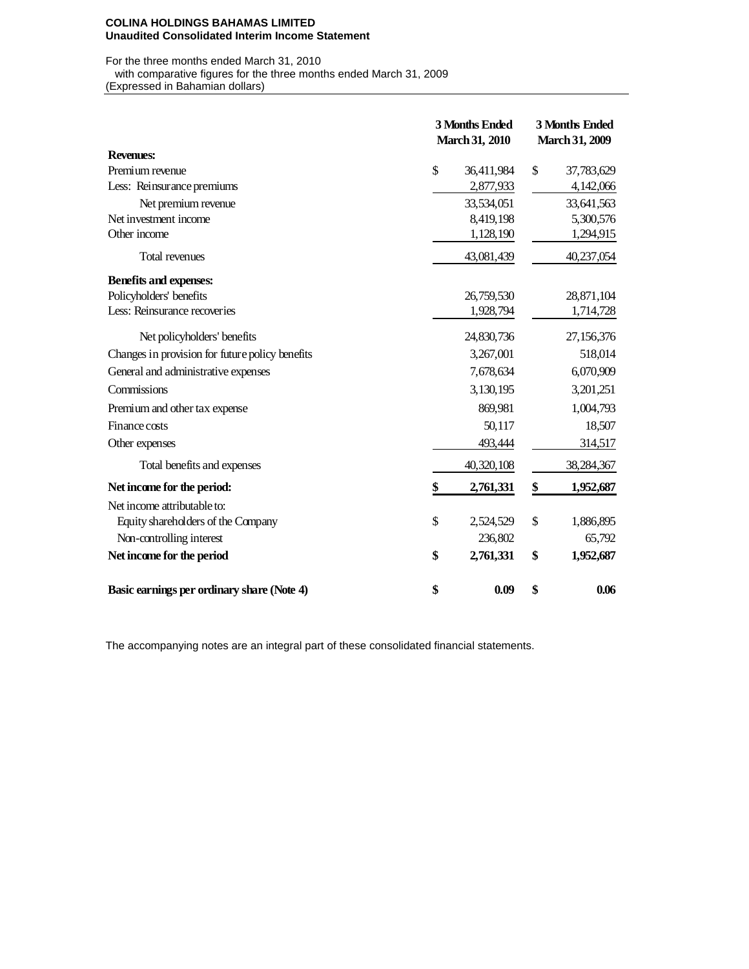#### **COLINA HOLDINGS BAHAMAS LIMITED Unaudited Consolidated Interim Income Statement**

For the three months ended March 31, 2010

with comparative figures for the three months ended March 31, 2009

(Expressed in Bahamian dollars)

|                                                 | 3 Months Ended<br><b>March 31, 2010</b> |            | 3 Months Ended<br><b>March 31, 2009</b> |              |  |  |
|-------------------------------------------------|-----------------------------------------|------------|-----------------------------------------|--------------|--|--|
| <b>Revenues:</b>                                |                                         |            |                                         |              |  |  |
| Premium revenue                                 | \$                                      | 36,411,984 | \$                                      | 37,783,629   |  |  |
| Less: Reinsurance premiums                      |                                         | 2,877,933  |                                         | 4,142,066    |  |  |
| Net premium revenue                             |                                         | 33,534,051 |                                         | 33,641,563   |  |  |
| Net investment income                           |                                         | 8,419,198  |                                         | 5,300,576    |  |  |
| Other income                                    |                                         | 1,128,190  |                                         | 1,294,915    |  |  |
| <b>Total revenues</b>                           |                                         | 43,081,439 |                                         | 40,237,054   |  |  |
| Benefits and expenses:                          |                                         |            |                                         |              |  |  |
| Policyholders' benefits                         |                                         | 26,759,530 |                                         | 28,871,104   |  |  |
| Less: Reinsurance recoveries                    |                                         | 1,928,794  |                                         | 1,714,728    |  |  |
| Net policyholders' benefits                     |                                         | 24,830,736 |                                         | 27,156,376   |  |  |
| Changes in provision for future policy benefits |                                         | 3,267,001  |                                         | 518,014      |  |  |
| General and administrative expenses             |                                         | 7,678,634  |                                         | 6,070,909    |  |  |
| Commissions                                     |                                         | 3,130,195  |                                         | 3,201,251    |  |  |
| Premium and other tax expense                   |                                         | 869,981    |                                         | 1,004,793    |  |  |
| Finance costs                                   |                                         | 50,117     |                                         | 18,507       |  |  |
| Other expenses                                  |                                         | 493,444    |                                         | 314,517      |  |  |
| Total benefits and expenses                     |                                         | 40,320,108 |                                         | 38, 284, 367 |  |  |
| Net income for the period:                      | \$                                      | 2,761,331  | \$                                      | 1,952,687    |  |  |
| Net income attributable to:                     |                                         |            |                                         |              |  |  |
| Equity shareholders of the Company              | \$                                      | 2,524,529  | \$                                      | 1,886,895    |  |  |
| Non-controlling interest                        |                                         | 236,802    |                                         | 65,792       |  |  |
| Net income for the period                       | \$                                      | 2,761,331  | \$                                      | 1,952,687    |  |  |
| Basic earnings per ordinary share (Note 4)      | \$                                      | 0.09       | \$                                      | 0.06         |  |  |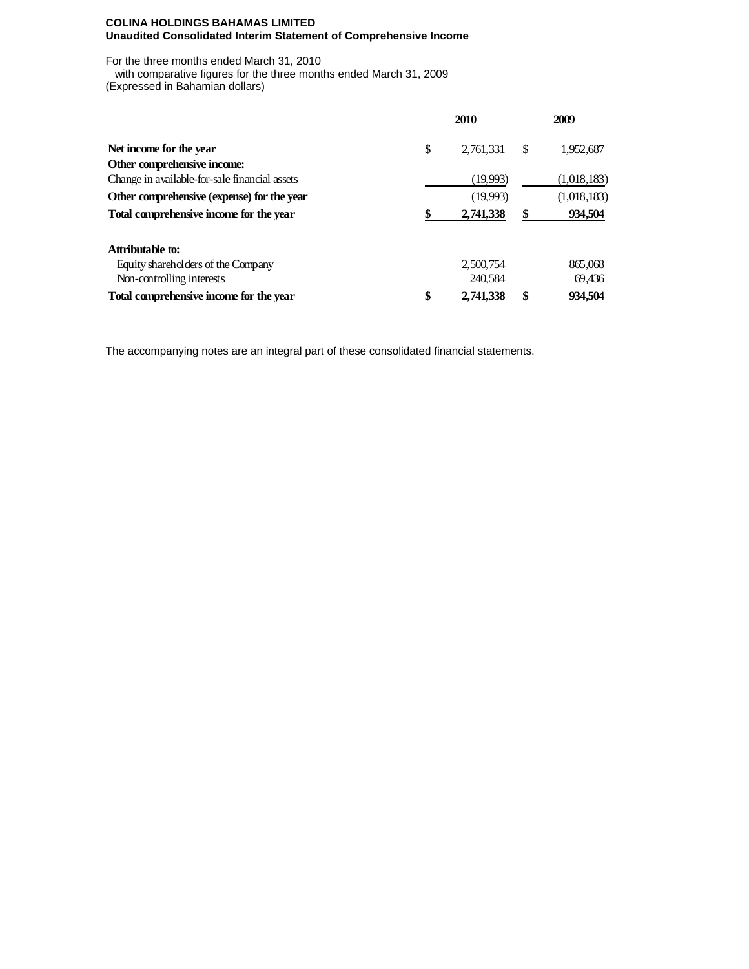## **COLINA HOLDINGS BAHAMAS LIMITED Unaudited Consolidated Interim Statement of Comprehensive Income**

For the three months ended March 31, 2010

with comparative figures for the three months ended March 31, 2009

(Expressed in Bahamian dollars)

|                                               |    | 2009      |    |             |  |
|-----------------------------------------------|----|-----------|----|-------------|--|
| Net income for the year                       | \$ | 2,761,331 | \$ | 1,952,687   |  |
| Other comprehensive income:                   |    |           |    |             |  |
| Change in available-for-sale financial assets |    | (19,993)  |    | (1,018,183) |  |
| Other comprehensive (expense) for the year    |    | (19,993)  |    | (1,018,183) |  |
| Total comprehensive income for the year       |    | 2,741,338 | \$ | 934,504     |  |
| Attributable to:                              |    |           |    |             |  |
| Equity shareholders of the Company            |    | 2,500,754 |    | 865,068     |  |
| Non-controlling interests                     |    | 240.584   |    | 69,436      |  |
| Total comprehensive income for the year       | \$ | 2,741,338 | \$ | 934.504     |  |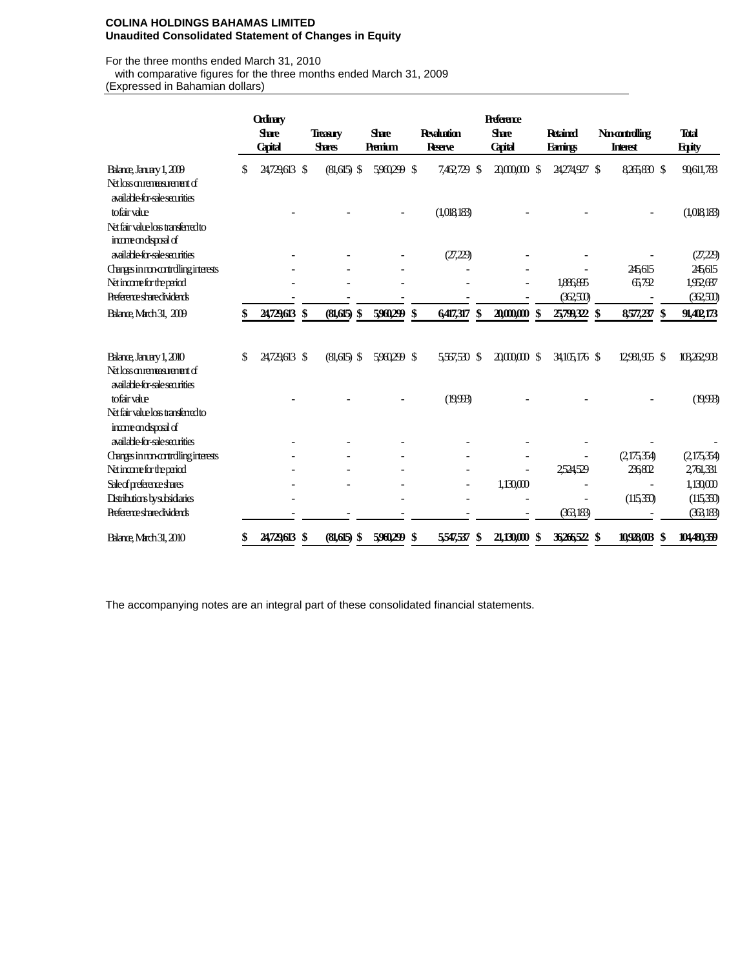## **COLINA HOLDINGS BAHAMAS LIMITED Unaudited Consolidated Statement of Changes in Equity**

For the three months ended March 31, 2010

with comparative figures for the three months ended March 31, 2009

(Expressed in Bahamian dollars)

|                                                                 |    | <b>Ordinary</b>                |                                  |                         |             |                                     | <b>Preference</b>              |                                   |                                    |                              |
|-----------------------------------------------------------------|----|--------------------------------|----------------------------------|-------------------------|-------------|-------------------------------------|--------------------------------|-----------------------------------|------------------------------------|------------------------------|
|                                                                 |    | <b>Stare</b><br><b>Capital</b> | <b>Treasury</b><br><b>Shares</b> | <b>Share</b><br>Premium |             | <b>Revaluation</b><br><b>Reerve</b> | <b>Share</b><br><b>Capital</b> | <b>Retained</b><br><b>Earings</b> | <b>November</b><br><b>Interest</b> | <b>Total</b><br><b>Eqity</b> |
| Balance, January 1, 2009                                        | S  | 24,729,613 \$                  | $(81,615)$ \$                    |                         | 5960299 \$  | 7,462,729<br>-S                     | $200000$ \$                    | 24274927 \$                       | 8,265,830 \$                       | 90,611,783                   |
| Netlosomenexuenent of<br>available-for-sale securities          |    |                                |                                  |                         |             |                                     |                                |                                   |                                    |                              |
| tofair value                                                    |    |                                |                                  |                         |             | (1,018,183)                         |                                |                                   |                                    | (1,018,183)                  |
| Nati fair value los transferred to<br>incorrect of incorrect of |    |                                |                                  |                         |             |                                     |                                |                                   |                                    |                              |
| available for-sale securities                                   |    |                                |                                  |                         |             | (27,229)                            |                                |                                   |                                    | (27,229)                     |
| Changes in mo-controlling interests                             |    |                                |                                  |                         |             |                                     |                                |                                   | 245,615                            | 245,615                      |
| Net incorre for the period                                      |    |                                |                                  |                         |             |                                     |                                | 1,886,895                         | 65,792                             | 1,952,687                    |
| <b>Preferences</b> bare dividents                               |    |                                |                                  |                         |             |                                     |                                | (362,50)                          |                                    | (362,500)                    |
| Balance, March 31, 2009                                         |    | 24,729,613 \$                  | (81,615)<br>\$                   |                         | 5960,299 \$ | 6417,317<br>$\boldsymbol{\$}$       | 20,000,000 \$                  | 25799,322 \$                      | 8,577,237 \$                       | 91,402,173                   |
| Balance, January 1, 2010                                        | \$ | 24729.613 \$                   | $(81,615)$ \$                    |                         | 5960299 \$  | 5,567,530 \$                        | $2000000$ \$                   | 34105.176 \$                      | 12,981,905 \$                      | 103262,908                   |
| Net loss on remeasurement of<br>available for-sale securities   |    |                                |                                  |                         |             |                                     |                                |                                   |                                    |                              |
| tofair value                                                    |    |                                |                                  |                         |             | (19,993)                            |                                |                                   |                                    | (19,993)                     |
| Net fair value loss transferred to<br>incorrectional of         |    |                                |                                  |                         |             |                                     |                                |                                   |                                    |                              |
| available for-sale securities                                   |    |                                |                                  |                         |             |                                     |                                |                                   |                                    |                              |
| Changes in movement dling interests                             |    |                                |                                  |                         |             |                                     |                                |                                   | (2,175,354)                        | (2,175,354)                  |
| Net incorre for the period                                      |    |                                |                                  |                         |             |                                     |                                | 2524529                           | 236802                             | 2,761,331                    |
| Sale of preference shares                                       |    |                                |                                  |                         |             | $\qquad \qquad \blacksquare$        | 1,130,000                      |                                   |                                    | 1,13000                      |
| Distributions by subsidiaries                                   |    |                                |                                  |                         |             |                                     |                                |                                   | (115,350)                          | (115,350)                    |
| <b>Preference sharedividents</b>                                |    |                                |                                  |                         |             |                                     |                                | (363,183)                         |                                    | (36,183)                     |
| <b>Balance March 31, 2010</b>                                   | \$ | 24729,613 \$                   | $(81,615)$ \$                    |                         | 5960,299 \$ | 5,547,537<br>\$                     | 21,130,000<br>-S               | 36266522 \$                       | 10,928,003 \$                      | 104480,359                   |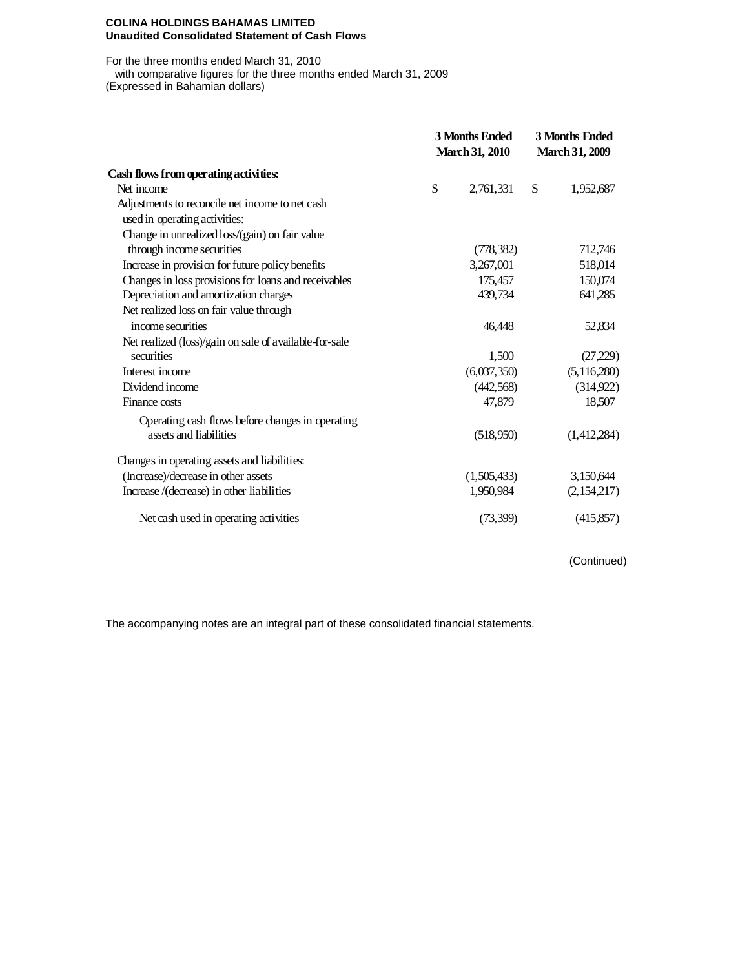#### **COLINA HOLDINGS BAHAMAS LIMITED Unaudited Consolidated Statement of Cash Flows**

For the three months ended March 31, 2010

with comparative figures for the three months ended March 31, 2009

(Expressed in Bahamian dollars)

|                                                        | <b>3 Months Ended</b><br><b>March 31, 2010</b> |             | <b>3 Months Ended</b><br><b>March 31, 2009</b> |               |  |
|--------------------------------------------------------|------------------------------------------------|-------------|------------------------------------------------|---------------|--|
| Cash flows from operating activities:                  |                                                |             |                                                |               |  |
| Net income                                             | \$                                             | 2,761,331   | \$                                             | 1,952,687     |  |
| Adjustments to reconcile net income to net cash        |                                                |             |                                                |               |  |
| used in operating activities:                          |                                                |             |                                                |               |  |
| Change in unrealized loss/(gain) on fair value         |                                                |             |                                                |               |  |
| through income securities                              |                                                | (778, 382)  |                                                | 712,746       |  |
| Increase in provision for future policy benefits       |                                                | 3,267,001   |                                                | 518,014       |  |
| Changes in loss provisions for loans and receivables   |                                                | 175,457     |                                                | 150,074       |  |
| Depreciation and amortization charges                  |                                                | 439,734     |                                                | 641,285       |  |
| Net realized loss on fair value through                |                                                |             |                                                |               |  |
| income securities                                      |                                                | 46.448      |                                                | 52,834        |  |
| Net realized (loss)/gain on sale of available-for-sale |                                                |             |                                                |               |  |
| securities                                             |                                                | 1,500       |                                                | (27,229)      |  |
| Interest income                                        |                                                | (6,037,350) |                                                | (5, 116, 280) |  |
| Dividend income                                        |                                                | (442, 568)  |                                                | (314,922)     |  |
| Finance costs                                          |                                                | 47,879      |                                                | 18,507        |  |
| Operating cash flows before changes in operating       |                                                |             |                                                |               |  |
| assets and liabilities                                 |                                                | (518,950)   |                                                | (1,412,284)   |  |
| Changes in operating assets and liabilities:           |                                                |             |                                                |               |  |
| (Increase)/decrease in other assets                    |                                                | (1,505,433) |                                                | 3,150,644     |  |
| Increase /(decrease) in other liabilities              |                                                | 1,950,984   |                                                | (2,154,217)   |  |
| Net cash used in operating activities                  |                                                | (73,399)    |                                                | (415,857)     |  |

(Continued)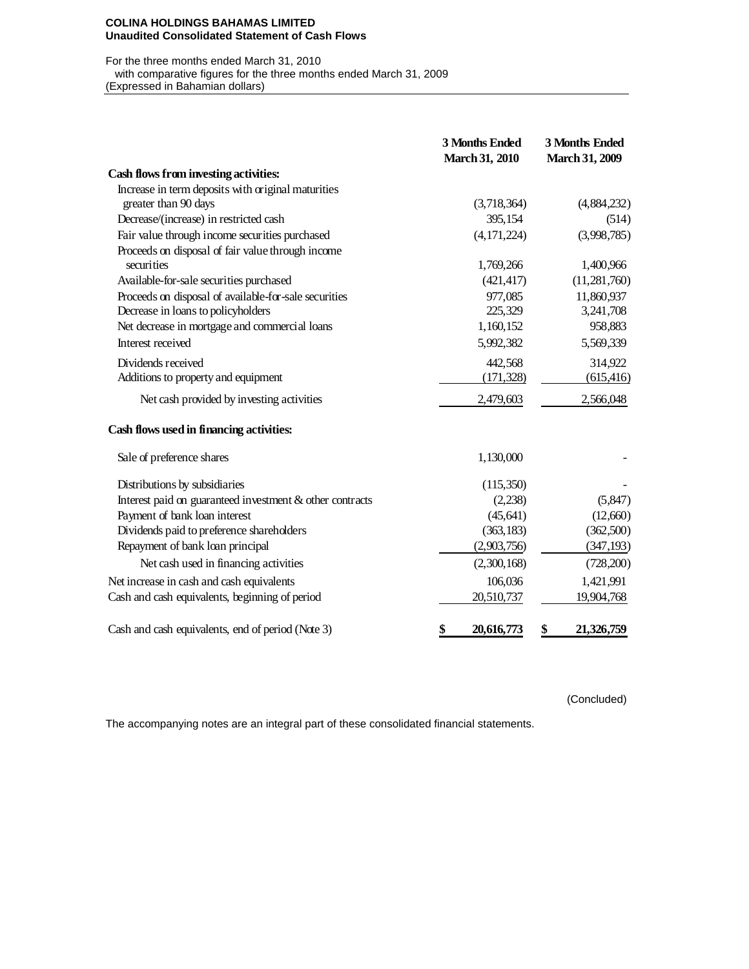#### **COLINA HOLDINGS BAHAMAS LIMITED Unaudited Consolidated Statement of Cash Flows**

# For the three months ended March 31, 2010 with comparative figures for the three months ended March 31, 2009

(Expressed in Bahamian dollars)

|                                                          | 3 Months Ended<br><b>March 31, 2010</b> | 3 Months Ended<br><b>March 31, 2009</b> |
|----------------------------------------------------------|-----------------------------------------|-----------------------------------------|
| Cash flows from investing activities:                    |                                         |                                         |
| Increase in term deposits with original maturities       |                                         |                                         |
| greater than 90 days                                     | (3,718,364)                             | (4,884,232)                             |
| Decrease/(increase) in restricted cash                   | 395,154                                 | (514)                                   |
| Fair value through income securities purchased           | (4, 171, 224)                           | (3,998,785)                             |
| Proceeds on disposal of fair value through income        |                                         |                                         |
| securities                                               | 1,769,266                               | 1,400,966                               |
| Available-for-sale securities purchased                  | (421, 417)                              | (11,281,760)                            |
| Proceeds on disposal of available-for-sale securities    | 977,085                                 | 11,860,937                              |
| Decrease in loans to policyholders                       | 225,329                                 | 3,241,708                               |
| Net decrease in mortgage and commercial loans            | 1,160,152                               | 958,883                                 |
| Interest received                                        | 5,992,382                               | 5,569,339                               |
| Dividends received                                       | 442,568                                 | 314,922                                 |
| Additions to property and equipment                      | (171, 328)                              | (615, 416)                              |
| Net cash provided by investing activities                | 2,479,603                               | 2,566,048                               |
| Cash flows used in financing activities:                 |                                         |                                         |
| Sale of preference shares                                | 1,130,000                               |                                         |
| Distributions by subsidiaries                            | (115,350)                               |                                         |
| Interest paid on guaranteed investment & other contracts | (2,238)                                 | (5,847)                                 |
| Payment of bank loan interest                            | (45, 641)                               | (12,660)                                |
| Dividends paid to preference shareholders                | (363, 183)                              | (362,500)                               |
| Repayment of bank loan principal                         | (2,903,756)                             | (347, 193)                              |
| Net cash used in financing activities                    | (2,300,168)                             | (728,200)                               |
| Net increase in cash and cash equivalents                | 106,036                                 | 1,421,991                               |
| Cash and cash equivalents, beginning of period           | 20,510,737                              | 19,904,768                              |
| Cash and cash equivalents, end of period (Note 3)        | 20,616,773<br>\$                        | 21,326,759<br>\$                        |

(Concluded)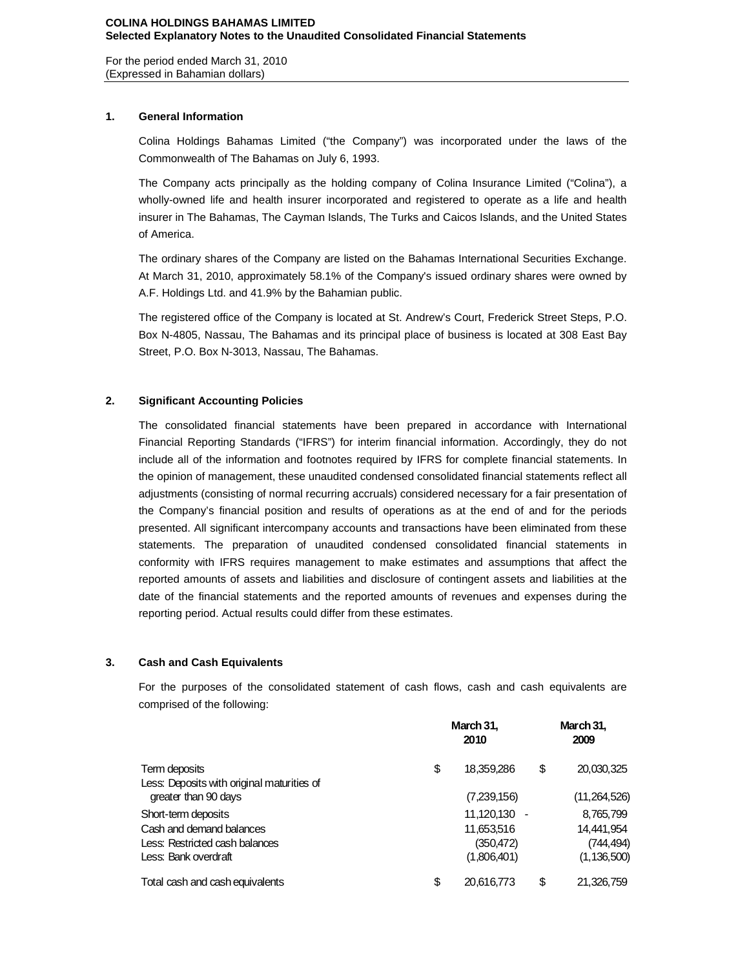For the period ended March 31, 2010 (Expressed in Bahamian dollars)

# **1. General Information**

Colina Holdings Bahamas Limited ("the Company") was incorporated under the laws of the Commonwealth of The Bahamas on July 6, 1993.

The Company acts principally as the holding company of Colina Insurance Limited ("Colina"), a wholly-owned life and health insurer incorporated and registered to operate as a life and health insurer in The Bahamas, The Cayman Islands, The Turks and Caicos Islands, and the United States of America.

The ordinary shares of the Company are listed on the Bahamas International Securities Exchange. At March 31, 2010, approximately 58.1% of the Company's issued ordinary shares were owned by A.F. Holdings Ltd. and 41.9% by the Bahamian public.

The registered office of the Company is located at St. Andrew's Court, Frederick Street Steps, P.O. Box N-4805, Nassau, The Bahamas and its principal place of business is located at 308 East Bay Street, P.O. Box N-3013, Nassau, The Bahamas.

# **2. Significant Accounting Policies**

The consolidated financial statements have been prepared in accordance with International Financial Reporting Standards ("IFRS") for interim financial information. Accordingly, they do not include all of the information and footnotes required by IFRS for complete financial statements. In the opinion of management, these unaudited condensed consolidated financial statements reflect all adjustments (consisting of normal recurring accruals) considered necessary for a fair presentation of the Company's financial position and results of operations as at the end of and for the periods presented. All significant intercompany accounts and transactions have been eliminated from these statements. The preparation of unaudited condensed consolidated financial statements in conformity with IFRS requires management to make estimates and assumptions that affect the reported amounts of assets and liabilities and disclosure of contingent assets and liabilities at the date of the financial statements and the reported amounts of revenues and expenses during the reporting period. Actual results could differ from these estimates.

# **3. Cash and Cash Equivalents**

For the purposes of the consolidated statement of cash flows, cash and cash equivalents are comprised of the following:

| Term deposits                                                      | March 31,<br>2010 |                              |    | March 31,<br>2009          |  |  |
|--------------------------------------------------------------------|-------------------|------------------------------|----|----------------------------|--|--|
|                                                                    | \$                | 18,359,286                   | \$ | 20,030,325                 |  |  |
| Less: Deposits with original maturities of<br>greater than 90 days |                   | (7,239,156)                  |    | (11,264,526)               |  |  |
| Short-term deposits<br>Cash and demand balances                    |                   | $11.120.130 -$<br>11,653,516 |    | 8,765,799<br>14,441,954    |  |  |
| Less: Restricted cash balances<br>Less: Bank overdraft             |                   | (350, 472)<br>(1,806,401)    |    | (744,494)<br>(1, 136, 500) |  |  |
| Total cash and cash equivalents                                    | \$                | 20,616,773                   | \$ | 21,326,759                 |  |  |